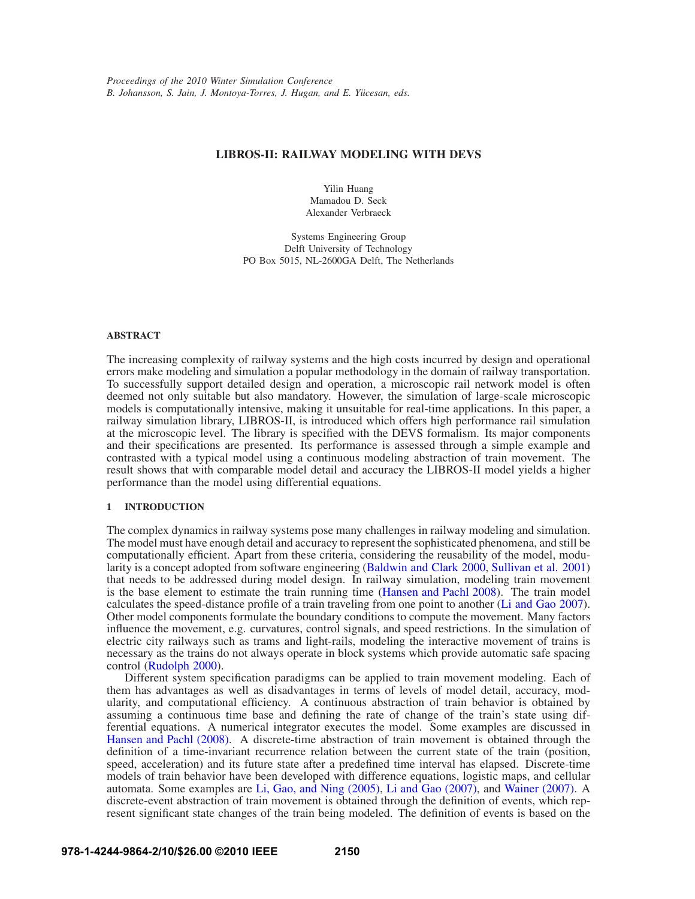# **LIBROS-II: RAILWAY MODELING WITH DEVS**

Yilin Huang Mamadou D. Seck Alexander Verbraeck

Systems Engineering Group Delft University of Technology PO Box 5015, NL-2600GA Delft, The Netherlands

## **ABSTRACT**

The increasing complexity of railway systems and the high costs incurred by design and operational errors make modeling and simulation a popular methodology in the domain of railway transportation. To successfully support detailed design and operation, a microscopic rail network model is often deemed not only suitable but also mandatory. However, the simulation of large-scale microscopic models is computationally intensive, making it unsuitable for real-time applications. In this paper, a railway simulation library, LIBROS-II, is introduced which offers high performance rail simulation at the microscopic level. The library is specified with the DEVS formalism. Its major components and their specifications are presented. Its performance is assessed through a simple example and contrasted with a typical model using a continuous modeling abstraction of train movement. The result shows that with comparable model detail and accuracy the LIBROS-II model yields a higher performance than the model using differential equations.

## **1 INTRODUCTION**

The complex dynamics in railway systems pose many challenges in railway modeling and simulation. The model must have enough detail and accuracy to represent the sophisticated phenomena, and still be computationally efficient. Apart from these criteria, considering the reusability of the model, modularity is a concept adopted from software engineering (Baldwin and Clark 2000, Sullivan et al. 2001) that needs to be addressed during model design. In railway simulation, modeling train movement is the base element to estimate the train running time (Hansen and Pachl 2008). The train model calculates the speed-distance profile of a train traveling from one point to another (Li and Gao 2007). Other model components formulate the boundary conditions to compute the movement. Many factors influence the movement, e.g. curvatures, control signals, and speed restrictions. In the simulation of electric city railways such as trams and light-rails, modeling the interactive movement of trains is necessary as the trains do not always operate in block systems which provide automatic safe spacing control (Rudolph 2000).

Different system specification paradigms can be applied to train movement modeling. Each of them has advantages as well as disadvantages in terms of levels of model detail, accuracy, modularity, and computational efficiency. A continuous abstraction of train behavior is obtained by assuming a continuous time base and defining the rate of change of the train's state using differential equations. A numerical integrator executes the model. Some examples are discussed in Hansen and Pachl (2008). A discrete-time abstraction of train movement is obtained through the definition of a time-invariant recurrence relation between the current state of the train (position, speed, acceleration) and its future state after a predefined time interval has elapsed. Discrete-time models of train behavior have been developed with difference equations, logistic maps, and cellular automata. Some examples are Li, Gao, and Ning (2005), Li and Gao (2007), and Wainer (2007). A discrete-event abstraction of train movement is obtained through the definition of events, which represent significant state changes of the train being modeled. The definition of events is based on the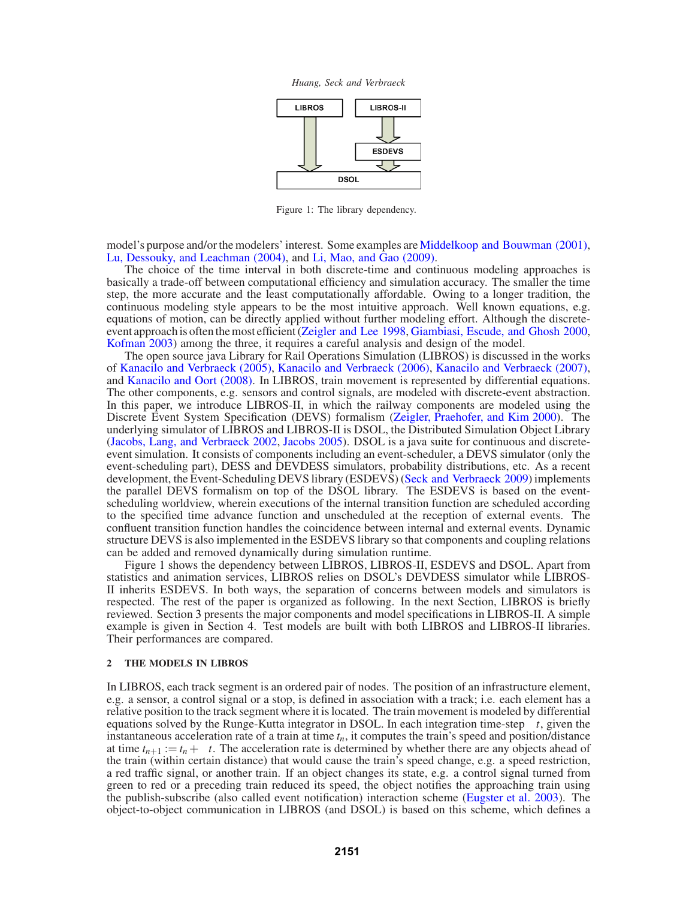*Huang, Seck and Verbraeck*



Figure 1: The library dependency.

model's purpose and/or the modelers' interest. Some examples are Middelkoop and Bouwman (2001), Lu, Dessouky, and Leachman (2004), and Li, Mao, and Gao (2009).

The choice of the time interval in both discrete-time and continuous modeling approaches is basically a trade-off between computational efficiency and simulation accuracy. The smaller the time step, the more accurate and the least computationally affordable. Owing to a longer tradition, the continuous modeling style appears to be the most intuitive approach. Well known equations, e.g. equations of motion, can be directly applied without further modeling effort. Although the discreteevent approach is often the most efficient (Zeigler and Lee 1998, Giambiasi, Escude, and Ghosh 2000, Kofman 2003) among the three, it requires a careful analysis and design of the model.

The open source java Library for Rail Operations Simulation (LIBROS) is discussed in the works of Kanacilo and Verbraeck (2005), Kanacilo and Verbraeck (2006), Kanacilo and Verbraeck (2007), and Kanacilo and Oort (2008). In LIBROS, train movement is represented by differential equations. The other components, e.g. sensors and control signals, are modeled with discrete-event abstraction. In this paper, we introduce LIBROS-II, in which the railway components are modeled using the Discrete Event System Specification (DEVS) formalism (Zeigler, Praehofer, and Kim 2000). The underlying simulator of LIBROS and LIBROS-II is DSOL, the Distributed Simulation Object Library (Jacobs, Lang, and Verbraeck 2002, Jacobs 2005). DSOL is a java suite for continuous and discreteevent simulation. It consists of components including an event-scheduler, a DEVS simulator (only the event-scheduling part), DESS and DEVDESS simulators, probability distributions, etc. As a recent development, the Event-Scheduling DEVS library (ESDEVS) (Seck and Verbraeck 2009) implements the parallel DEVS formalism on top of the DSOL library. The ESDEVS is based on the eventscheduling worldview, wherein executions of the internal transition function are scheduled according to the specified time advance function and unscheduled at the reception of external events. The confluent transition function handles the coincidence between internal and external events. Dynamic structure DEVS is also implemented in the ESDEVS library so that components and coupling relations can be added and removed dynamically during simulation runtime.

Figure 1 shows the dependency between LIBROS, LIBROS-II, ESDEVS and DSOL. Apart from statistics and animation services, LIBROS relies on DSOL's DEVDESS simulator while LIBROS-II inherits ESDEVS. In both ways, the separation of concerns between models and simulators is respected. The rest of the paper is organized as following. In the next Section, LIBROS is briefly reviewed. Section 3 presents the major components and model specifications in LIBROS-II. A simple example is given in Section 4. Test models are built with both LIBROS and LIBROS-II libraries. Their performances are compared.

## **2 THE MODELS IN LIBROS**

In LIBROS, each track segment is an ordered pair of nodes. The position of an infrastructure element, e.g. a sensor, a control signal or a stop, is defined in association with a track; i.e. each element has a relative position to the track segment where it is located. The train movement is modeled by differential equations solved by the Runge-Kutta integrator in DSOL. In each integration time-step ∆*t*, given the instantaneous acceleration rate of a train at time  $t_n$ , it computes the train's speed and position/distance at time  $t_{n+1} := t_n + \Delta t$ . The acceleration rate is determined by whether there are any objects ahead of the train (within certain distance) that would cause the train's speed change, e.g. a speed restriction, a red traffic signal, or another train. If an object changes its state, e.g. a control signal turned from green to red or a preceding train reduced its speed, the object notifies the approaching train using the publish-subscribe (also called event notification) interaction scheme (Eugster et al. 2003). The object-to-object communication in LIBROS (and DSOL) is based on this scheme, which defines a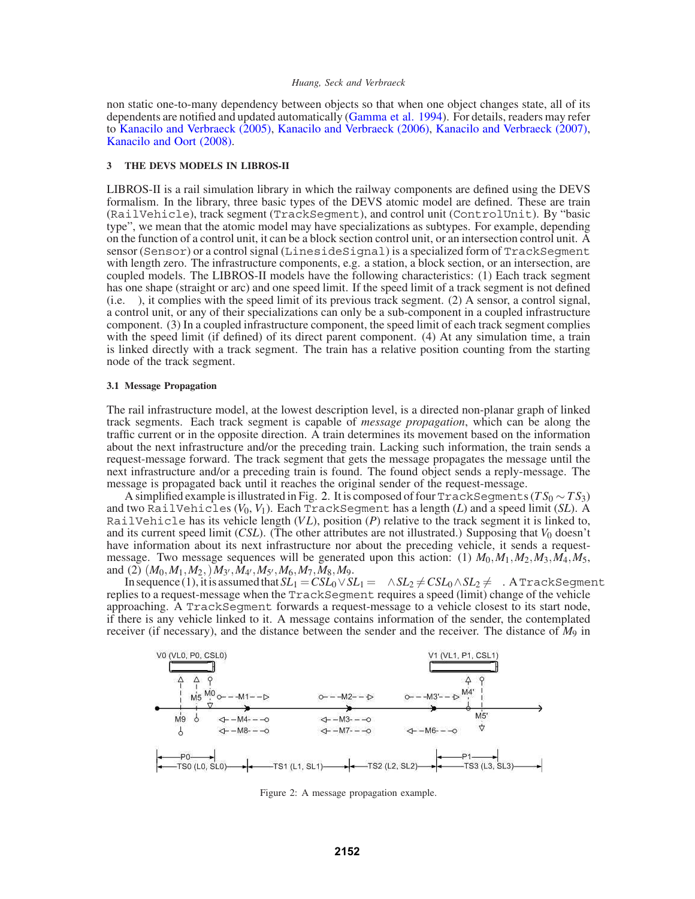non static one-to-many dependency between objects so that when one object changes state, all of its dependents are notified and updated automatically (Gamma et al. 1994). For details, readers may refer to Kanacilo and Verbraeck (2005), Kanacilo and Verbraeck (2006), Kanacilo and Verbraeck (2007), Kanacilo and Oort (2008).

## **3 THE DEVS MODELS IN LIBROS-II**

LIBROS-II is a rail simulation library in which the railway components are defined using the DEVS formalism. In the library, three basic types of the DEVS atomic model are defined. These are train (RailVehicle), track segment (TrackSegment), and control unit (ControlUnit). By "basic type", we mean that the atomic model may have specializations as subtypes. For example, depending on the function of a control unit, it can be a block section control unit, or an intersection control unit. A sensor (Sensor) or a control signal (LinesideSignal) is a specialized form of TrackSegment with length zero. The infrastructure components, e.g. a station, a block section, or an intersection, are coupled models. The LIBROS-II models have the following characteristics: (1) Each track segment has one shape (straight or arc) and one speed limit. If the speed limit of a track segment is not defined (i.e.  $\infty$ ), it complies with the speed limit of its previous track segment. (2) A sensor, a control signal, a control unit, or any of their specializations can only be a sub-component in a coupled infrastructure component. (3) In a coupled infrastructure component, the speed limit of each track segment complies with the speed limit (if defined) of its direct parent component. (4) At any simulation time, a train is linked directly with a track segment. The train has a relative position counting from the starting node of the track segment.

### **3.1 Message Propagation**

The rail infrastructure model, at the lowest description level, is a directed non-planar graph of linked track segments. Each track segment is capable of *message propagation*, which can be along the traffic current or in the opposite direction. A train determines its movement based on the information about the next infrastructure and/or the preceding train. Lacking such information, the train sends a request-message forward. The track segment that gets the message propagates the message until the next infrastructure and/or a preceding train is found. The found object sends a reply-message. The message is propagated back until it reaches the original sender of the request-message.

A simplified example is illustrated in Fig. 2. It is composed of four TrackSegments ( $TS_0 \sim TS_3$ ) and two RailVehicles  $(V_0, V_1)$ . Each TrackSegment has a length  $(L)$  and a speed limit  $(SL)$ . A RailVehicle has its vehicle length (*V L*), position (*P*) relative to the track segment it is linked to, and its current speed limit (*CSL*). (The other attributes are not illustrated.) Supposing that *V*<sup>0</sup> doesn't have information about its next infrastructure nor about the preceding vehicle, it sends a requestmessage. Two message sequences will be generated upon this action: (1)  $M_0, M_1, M_2, M_3, M_4, M_5$ , and (2) (*M*0,*M*1,*M*2,)*M*3′,*M*4′,*M*5′,*M*6,*M*7,*M*8,*M*9.

In sequence (1), it is assumed that  $SL_1 = CSL_0 \vee SL_1 = \infty \wedge SL_2 \neq CSL_0 \wedge SL_2 \neq \infty$ . A Track Segment replies to a request-message when the TrackSegment requires a speed (limit) change of the vehicle approaching. A TrackSegment forwards a request-message to a vehicle closest to its start node, if there is any vehicle linked to it. A message contains information of the sender, the contemplated receiver (if necessary), and the distance between the sender and the receiver. The distance of *M*<sup>9</sup> in



Figure 2: A message propagation example.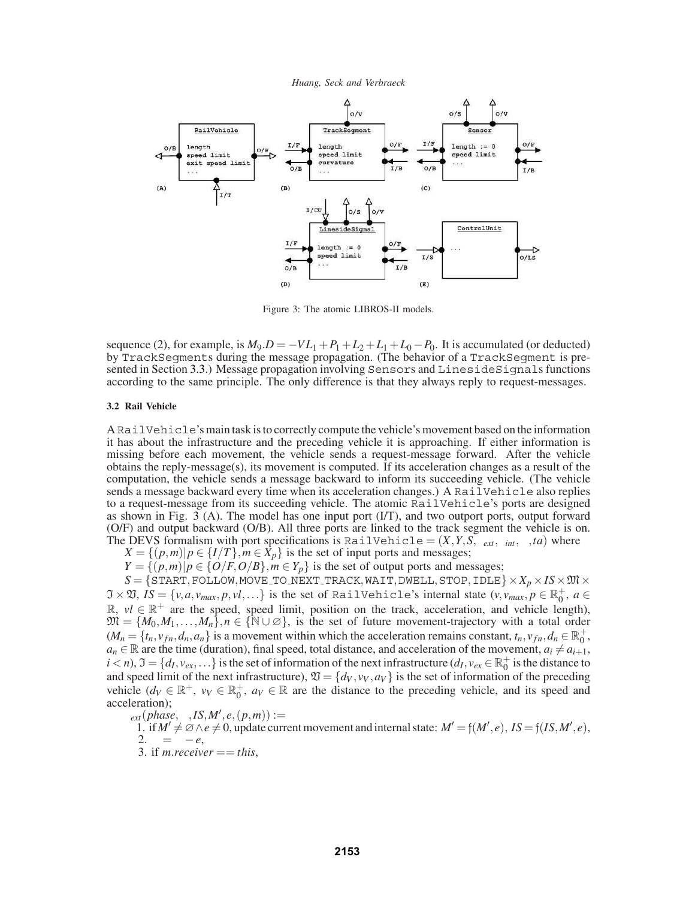

Figure 3: The atomic LIBROS-II models.

sequence (2), for example, is  $M_9 \cdot D = -V L_1 + P_1 + L_2 + L_1 + L_0 - P_0$ . It is accumulated (or deducted) by TrackSegments during the message propagation. (The behavior of a TrackSegment is presented in Section 3.3.) Message propagation involving Sensors and LinesideSignals functions according to the same principle. The only difference is that they always reply to request-messages.

## **3.2 Rail Vehicle**

A RailVehicle's main task is to correctly compute the vehicle's movement based on the information it has about the infrastructure and the preceding vehicle it is approaching. If either information is missing before each movement, the vehicle sends a request-message forward. After the vehicle obtains the reply-message(s), its movement is computed. If its acceleration changes as a result of the computation, the vehicle sends a message backward to inform its succeeding vehicle. (The vehicle sends a message backward every time when its acceleration changes.) A RailVehicle also replies to a request-message from its succeeding vehicle. The atomic RailVehicle's ports are designed as shown in Fig. 3 (A). The model has one input port (I/T), and two outport ports, output forward (O/F) and output backward (O/B). All three ports are linked to the track segment the vehicle is on. The DEVS formalism with port specifications is RailVehicle =  $(X, Y, S, \delta_{ext}, \delta_{int}, \lambda, ta)$  where

 $X = \{(p,m)|p \in \{I/T\}, m \in X_p\}$  is the set of input ports and messages;

 $Y = \{(p,m) | p \in \{O/F, O/B\}, m \in Y_p\}$  is the set of output ports and messages;

 $S = \{ \text{START}, \text{FOLLOW}, \text{MOVE\_TO}\}$  **EXT\_TRACK, WAIT, DWELL, STOP, IDLE** $\} \times X_p \times IS \times \mathfrak{M} \times \mathfrak{M}$  $\mathfrak{I} \times \mathfrak{V}, \, IS = \{v, a, v_{max}, p, vl, \ldots\}$  is the set of RailVehicle's internal state  $(v, v_{max}, p \in \mathbb{R}_0^+, a \in \mathbb{R}^+, a \in \mathbb{R}^+, a \in \mathbb{R}^+, a \in \mathbb{R}^+, a \in \mathbb{R}^+, a \in \mathbb{R}^+, a \in \mathbb{R}^+, a \in \mathbb{R}^+, a \in \mathbb{R}^+, a \in \mathbb{R}^+, a \in \mathbb{$  $ℝ, vl ∈ ℝ<sup>+</sup>$  are the speed, speed limit, position on the track, acceleration, and vehicle length),  $\mathfrak{M} = \{M_0, M_1, \ldots, M_n\}, n \in \{\mathbb{N} \cup \varnothing\},\$ is the set of future movement-trajectory with a total order  $(M_n = \{t_n, v_{fn}, d_n, a_n\}$  is a movement within which the acceleration remains constant,  $t_n, v_{fn}, d_n \in \mathbb{R}^+_0$ ,  $a_n \in \mathbb{R}$  are the time (duration), final speed, total distance, and acceleration of the movement,  $a_i \neq a_{i+1}$ ,  $i < n$ ),  $\mathfrak{I} = \{d_I, v_{ex}, \ldots\}$  is the set of information of the next infrastructure  $(d_I, v_{ex} \in \mathbb{R}^+_0)$  is the distance to and speed limit of the next infrastructure),  $\mathfrak{V} = \{d_V, v_V, a_V\}$  is the set of information of the preceding vehicle  $(d_V \in \mathbb{R}^+, v_V \in \mathbb{R}_0^+, a_V \in \mathbb{R}$  are the distance to the preceding vehicle, and its speed and acceleration);

 $\delta_{ext}(phase, \sigma, IS, M', e, (p, m)) :=$ 

1. if  $M' \neq \emptyset \land e \neq 0$ , update current movement and internal state:  $M' = \mathfrak{f}(M',e)$ ,  $IS = \mathfrak{f}(IS,M',e)$ , 2.  $\sigma = \sigma - e$ ,

3. if *m*.*receiver*  $==$  *this*.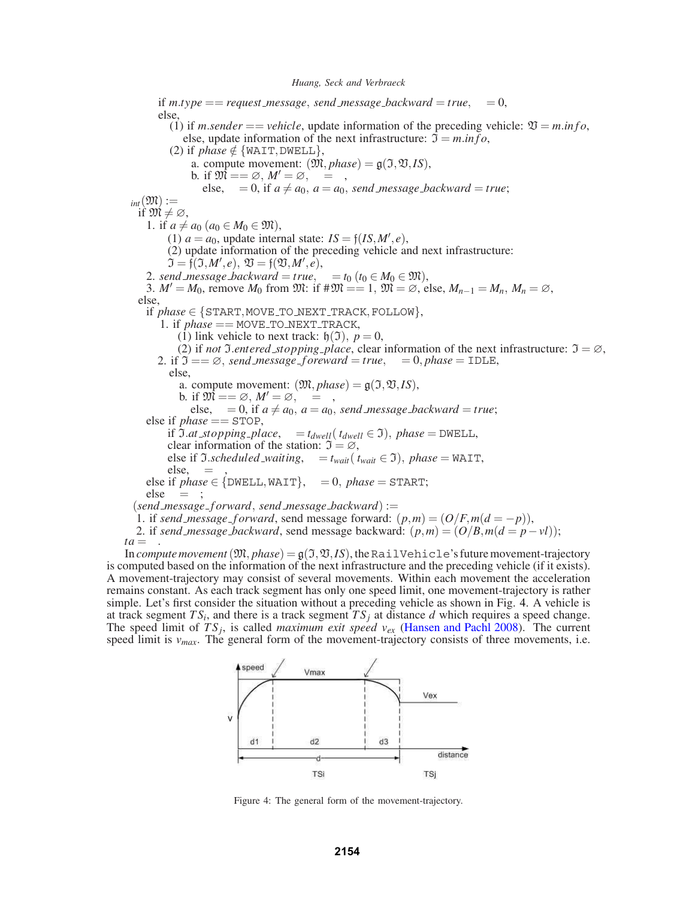if  $m.type == request\_message$ ,  $send\_message\_backward = true$ ,  $\sigma = 0$ , else, (1) if *m.sender* == *vehicle*, update information of the preceding vehicle:  $\mathfrak{V} = m.info$ , else, update information of the next infrastructure:  $\mathfrak{I} = m.info$ , (2) if *phase*  $\notin$  {WAIT, DWELL}, a. compute movement:  $(\mathfrak{M}, phase) = \mathfrak{g}(\mathfrak{I}, \mathfrak{V}, I\mathfrak{S}),$ b. if  $\mathfrak{M} = \emptyset$ ,  $M' = \emptyset$ ,  $\sigma = \infty$ , else,  $\sigma = 0$ , if  $a \neq a_0$ ,  $a = a_0$ , send message backward = true;  $\delta_{int}(\mathfrak{M}) :=$ if  $\mathfrak{M} \neq \emptyset$ , 1. if  $a \neq a_0$  ( $a_0 \in M_0 \in \mathfrak{M}$ ), (1)  $a = a_0$ , update internal state:  $IS = f(IS, M', e)$ , (2) update information of the preceding vehicle and next infrastructure:  $\mathfrak{I} = \mathfrak{f}(\mathfrak{I},M',e), \, \mathfrak{V} = \mathfrak{f}(\mathfrak{V},M',\overline{e}),$ 2. *send message backward* = *true*,  $\sigma = t_0$  ( $t_0 \in M_0 \in \mathfrak{M}$ ), 3.  $M' = M_0$ , remove  $M_0$  from  $\mathfrak{M}$ : if  $\#\mathfrak{M} == 1$ ,  $\mathfrak{M} = \emptyset$ , else,  $M_{n-1} = M_n$ ,  $M_n = \emptyset$ , else, if *phase* ∈ {START,MOVE TO NEXT TRACK,FOLLOW}, 1. if *phase* == MOVE\_TO\_NEXT\_TRACK, (1) link vehicle to next track:  $h(\mathfrak{I}), p = 0$ , (2) if *not*  $\Im$ *-entered stopping -place*, clear information of the next infrastructure:  $\Im = \emptyset$ ,  $\Im = \emptyset$ ,  $\gcd$  *send message f oreward* = *true*,  $\sigma = 0$ ,  $\mathit{phase} = \text{IDLE}$ , else, a. compute movement:  $(\mathfrak{M}, phase) = \mathfrak{g}(\mathfrak{I}, \mathfrak{V}, IS),$ b. if  $\mathfrak{M} = \emptyset$ ,  $M' = \emptyset$ ,  $\sigma = \infty$ , else,  $\sigma = 0$ , if  $a \neq a_0$ ,  $a = a_0$ , send message backward = true; else if *phase* == STOP, if  $\Im$ *at\_stopping\_place*,  $\sigma = t_{dwell}(\tau_{dwell} \in \Im)$ , *phase* = DWELL, clear information of the station:  $\mathfrak{I} = \emptyset$ , else if  $\mathfrak{I}$ *.scheduled\_waiting*,  $\sigma = t_{wait}(t_{wait} \in \mathfrak{I})$ , *phase* = WAIT, else,  $\sigma = \infty$ ,<br>else if *phase*  $\in$  {DWELL, WAIT},  $\sigma = 0$ , *phase* = START; else  $\sigma = \infty$ ; λ(*send message f orward*, *send message backward*) := 1. if *send\_message\_forward*, send message forward:  $(p,m) = (O/F, m(d = -p)),$ 2. if *send\_message\_backward*, send message backward:  $(p,m) = (O/B, m(d = p - vl))$ ;  $ta = \sigma$ .

In *compute movement* ( $\mathfrak{M}, phase$ ) =  $\mathfrak{g}(\mathfrak{I},\mathfrak{V},IS)$ , the RailVehicle's future movement-trajectory is computed based on the information of the next infrastructure and the preceding vehicle (if it exists). A movement-trajectory may consist of several movements. Within each movement the acceleration remains constant. As each track segment has only one speed limit, one movement-trajectory is rather simple. Let's first consider the situation without a preceding vehicle as shown in Fig. 4. A vehicle is at track segment  $TS_i$ , and there is a track segment  $TS_j$  at distance *d* which requires a speed change. The speed limit of  $TS_j$ , is called *maximum exit speed*  $v_{ex}$  (Hansen and Pachl 2008). The current speed limit is  $v_{max}$ . The general form of the movement-trajectory consists of three movements, i.e.



Figure 4: The general form of the movement-trajectory.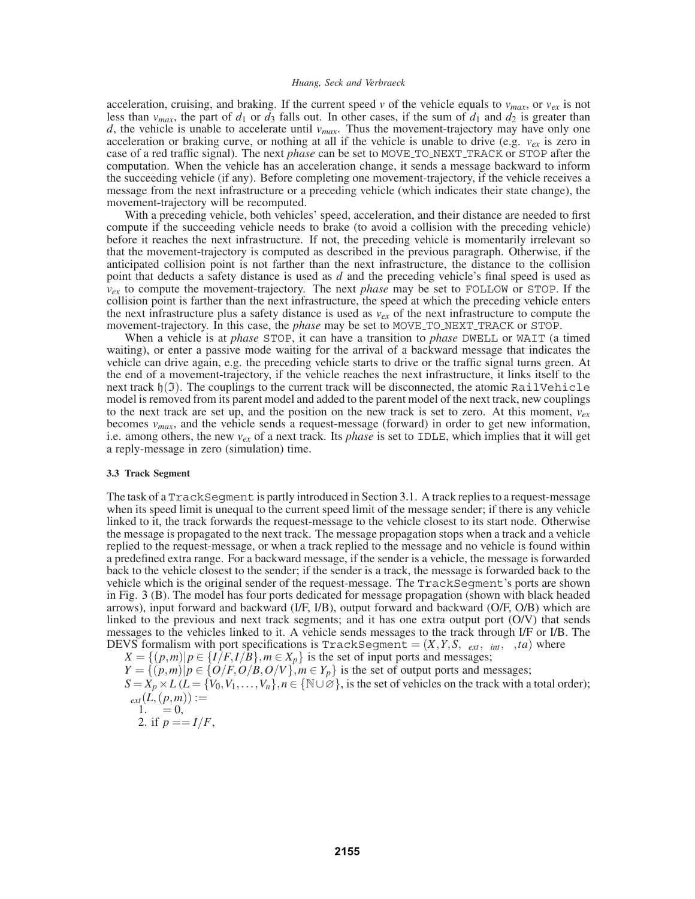acceleration, cruising, and braking. If the current speed  $v$  of the vehicle equals to  $v_{max}$ , or  $v_{ex}$  is not less than  $v_{max}$ , the part of  $d_1$  or  $\bar{d_3}$  falls out. In other cases, if the sum of  $d_1$  and  $d_2$  is greater than *d*, the vehicle is unable to accelerate until *vmax*. Thus the movement-trajectory may have only one acceleration or braking curve, or nothing at all if the vehicle is unable to drive (e.g. *vex* is zero in case of a red traffic signal). The next *phase* can be set to MOVE TO NEXT TRACK or STOP after the computation. When the vehicle has an acceleration change, it sends a message backward to inform the succeeding vehicle (if any). Before completing one movement-trajectory, if the vehicle receives a message from the next infrastructure or a preceding vehicle (which indicates their state change), the movement-trajectory will be recomputed.

With a preceding vehicle, both vehicles' speed, acceleration, and their distance are needed to first compute if the succeeding vehicle needs to brake (to avoid a collision with the preceding vehicle) before it reaches the next infrastructure. If not, the preceding vehicle is momentarily irrelevant so that the movement-trajectory is computed as described in the previous paragraph. Otherwise, if the anticipated collision point is not farther than the next infrastructure, the distance to the collision point that deducts a safety distance is used as *d* and the preceding vehicle's final speed is used as *vex* to compute the movement-trajectory. The next *phase* may be set to FOLLOW or STOP. If the collision point is farther than the next infrastructure, the speed at which the preceding vehicle enters the next infrastructure plus a safety distance is used as *vex* of the next infrastructure to compute the movement-trajectory. In this case, the *phase* may be set to MOVE TO NEXT TRACK or STOP.

When a vehicle is at *phase* STOP, it can have a transition to *phase* DWELL or WAIT (a timed waiting), or enter a passive mode waiting for the arrival of a backward message that indicates the vehicle can drive again, e.g. the preceding vehicle starts to drive or the traffic signal turns green. At the end of a movement-trajectory, if the vehicle reaches the next infrastructure, it links itself to the next track  $\mathfrak{h}(\mathfrak{I})$ . The couplings to the current track will be disconnected, the atomic RailVehicle model is removed from its parent model and added to the parent model of the next track, new couplings to the next track are set up, and the position on the new track is set to zero. At this moment,  $v_{ex}$ becomes  $v_{max}$ , and the vehicle sends a request-message (forward) in order to get new information, i.e. among others, the new  $v_{ex}$  of a next track. Its *phase* is set to IDLE, which implies that it will get a reply-message in zero (simulation) time.

## **3.3 Track Segment**

The task of a TrackSegment is partly introduced in Section 3.1. A track replies to a request-message when its speed limit is unequal to the current speed limit of the message sender; if there is any vehicle linked to it, the track forwards the request-message to the vehicle closest to its start node. Otherwise the message is propagated to the next track. The message propagation stops when a track and a vehicle replied to the request-message, or when a track replied to the message and no vehicle is found within a predefined extra range. For a backward message, if the sender is a vehicle, the message is forwarded back to the vehicle closest to the sender; if the sender is a track, the message is forwarded back to the vehicle which is the original sender of the request-message. The TrackSegment's ports are shown in Fig. 3 (B). The model has four ports dedicated for message propagation (shown with black headed arrows), input forward and backward (I/F, I/B), output forward and backward (O/F, O/B) which are linked to the previous and next track segments; and it has one extra output port  $(O/V)$  that sends messages to the vehicles linked to it. A vehicle sends messages to the track through I/F or I/B. The DEVS formalism with port specifications is  $\text{TrackSegment} = (X, Y, S, \delta_{ext}, \delta_{int}, \lambda, ta)$  where

 $X = \{(p,m) | p \in \{I/F, I/B\}, m \in X_p\}$  is the set of input ports and messages;  $Y = \{ (p,m) | p \in \{ O/F, O/B, O/V \}$ ,  $m \in Y_p \}$  is the set of output ports and messages;  $S = X_p \times L (L = \{V_0, V_1, \ldots, V_n\}, n \in \{\mathbb{N} \cup \emptyset\}$ , is the set of vehicles on the track with a total order);  $\delta_{ext}(L,(p,m)) :=$ 1.  $\sigma = 0$ , 2. if  $p = I/F$ ,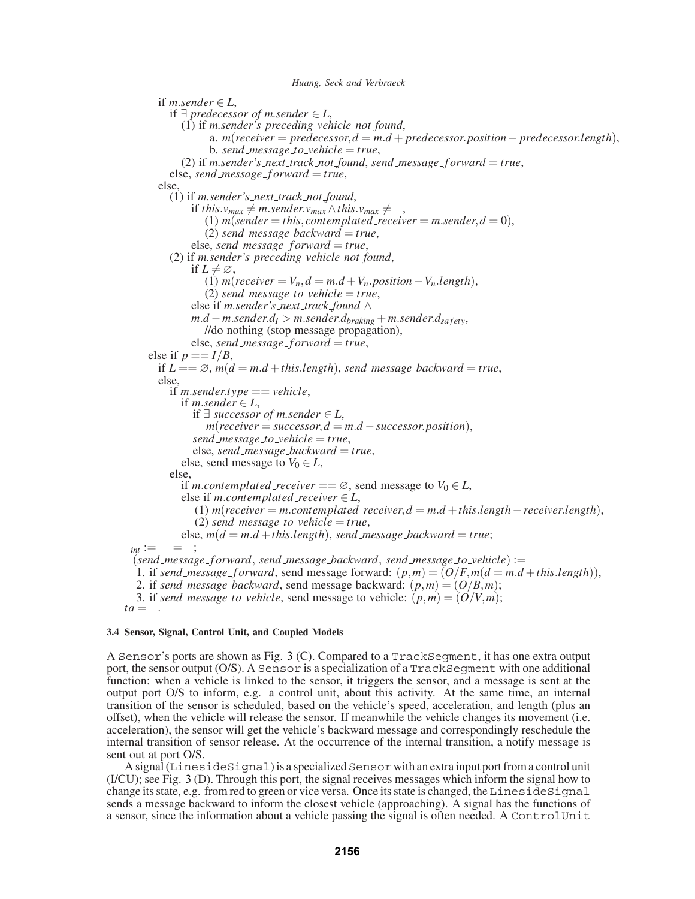if *<sup>m</sup>*.*sender* <sup>∈</sup> *<sup>L</sup>*, if <sup>∃</sup> *predecessor of m.sender* <sup>∈</sup> *<sup>L</sup>*, (1) if *m.sender's preceding vehicle not found*, a. *m*(*receiver* = *predecessor*,*d* = *m*.*d* + *predecessor*.*position*− *predecessor*.*length*), b. *send message to vehicle* = *true*, (2) if *m.sender's next track not found*, *send message forward* = *true*, else, *send message forward* = *true*, else,  $(1)$  if *m.sender's next track not found*, if *this*. $v_{max} \neq m$ .sender. $v_{max} \wedge this$ . $v_{max} \neq \infty$ ,  $(1)$  *m*(*sender* = *this, contemplated\_receiver* = *m.sender, d* = 0),  $(2)$  *send message backward* = *true*, else, *send message f orward* = *true*, (2) if *m.sender's preceding vehicle not found*, if  $L \neq \emptyset$ , (1)  $m(receiver = V_n, d = m.d + V_n. position - V_n.length),$  $(2)$  *send\_message\_to\_vehicle = true*, else if *m.sender's next track found* ∧  $m.d-m.sender.d<sub>I</sub> > m.sender.d<sub>braking</sub> + m.sender.d<sub>safety</sub>$ , //do nothing (stop message propagation), else, *send message f orward* = *true*, else if  $p == I/B$ , if  $L == \emptyset$ ,  $m(d = m.d + this.length)$ , send message backward = true, else,<br>if *m.sender.type* == *vehicle*, *if m.sender* ∈ *L*,<br>*if*  $\exists$  *successor of m.sender* ∈ *L*,  $m(receiver = successor, d = m.d - successor, position)$ , *send message to vehicle* = *true*, else, *send message backward* = *true*, else, send message to  $V_0 \in L$ , else, if *m*.*contemplated\_receiver* ==  $\varnothing$ , send message to  $V_0 \in L$ , else if *m*.*contemplated\_receiver*  $\in L$ , (1) *m*(*receiver* = *m*.*contemplated receiver*,*d* = *m*.*d* +*this*.*length*−*receiver*.*length*),  $(2)$  *send\_message\_to\_vehicle = true*, else,  $m(d = m.d + this.length)$ , *send\_message\_backward = true*;  $\delta_{int} := \sigma = \infty;$ λ(*send message f orward*, *send message backward*, *send message to vehicle*) := 1. if *send* message *forward*, send message forward:  $(p,m) = (O/F, m(d = m.d + this.length)),$ 2. if *send message backward*, send message backward:  $(p,m) = (O/B,m)$ ; 3. if *send message to vehicle*, send message to vehicle:  $(p,m) = (O/V, m)$ ;  $ta = \sigma$ .

### **3.4 Sensor, Signal, Control Unit, and Coupled Models**

A Sensor's ports are shown as Fig. 3 (C). Compared to a TrackSegment, it has one extra output port, the sensor output (O/S). A Sensor is a specialization of a TrackSegment with one additional function: when a vehicle is linked to the sensor, it triggers the sensor, and a message is sent at the output port O/S to inform, e.g. a control unit, about this activity. At the same time, an internal transition of the sensor is scheduled, based on the vehicle's speed, acceleration, and length (plus an offset), when the vehicle will release the sensor. If meanwhile the vehicle changes its movement (i.e. acceleration), the sensor will get the vehicle's backward message and correspondingly reschedule the internal transition of sensor release. At the occurrence of the internal transition, a notify message is sent out at port O/S.

A signal (LinesideSignal) is a specialized Sensor with an extra input port from a control unit (I/CU); see Fig. 3 (D). Through this port, the signal receives messages which inform the signal how to change its state, e.g. from red to green or vice versa. Once its state is changed, the LinesideSignal sends a message backward to inform the closest vehicle (approaching). A signal has the functions of a sensor, since the information about a vehicle passing the signal is often needed. A ControlUnit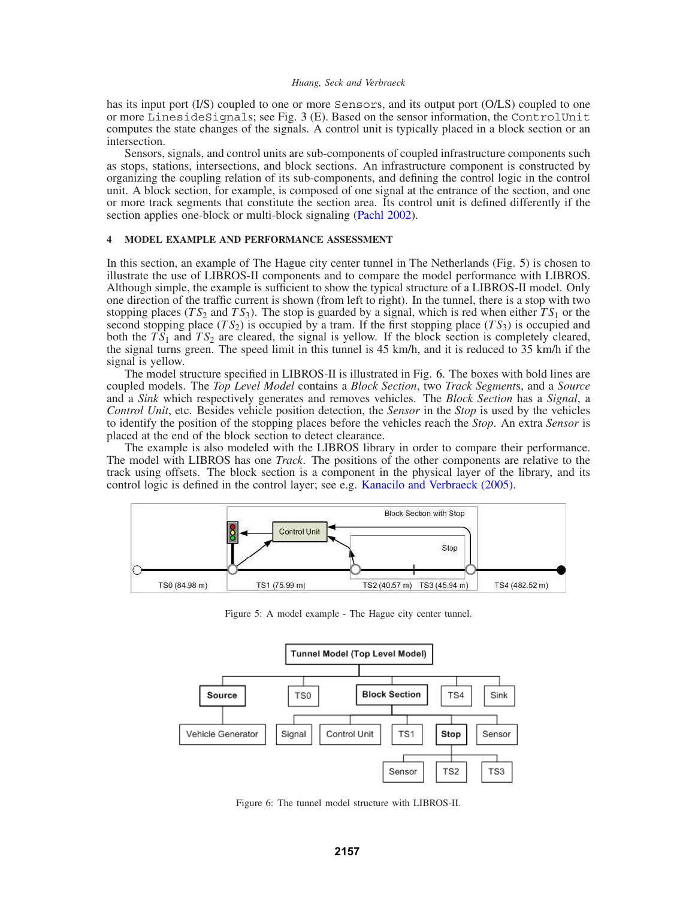has its input port (I/S) coupled to one or more Sensors, and its output port (O/LS) coupled to one or more LinesideSignals; see Fig. 3 (E). Based on the sensor information, the ControlUnit computes the state changes of the signals. A control unit is typically placed in a block section or an intersection.

Sensors, signals, and control units are sub-components of coupled infrastructure components such as stops, stations, intersections, and block sections. An infrastructure component is constructed by organizing the coupling relation of its sub-components, and defining the control logic in the control unit. A block section, for example, is composed of one signal at the entrance of the section, and one or more track segments that constitute the section area. Its control unit is defined differently if the section applies one-block or multi-block signaling (Pachl 2002).

## **4 MODEL EXAMPLE AND PERFORMANCE ASSESSMENT**

In this section, an example of The Hague city center tunnel in The Netherlands (Fig. 5) is chosen to illustrate the use of LIBROS-II components and to compare the model performance with LIBROS. Although simple, the example is sufficient to show the typical structure of a LIBROS-II model. Only one direction of the traffic current is shown (from left to right). In the tunnel, there is a stop with two stopping places ( $TS_2$  and  $TS_3$ ). The stop is guarded by a signal, which is red when either  $TS_1$  or the second stopping place  $(TS_2)$  is occupied by a tram. If the first stopping place  $(TS_3)$  is occupied and both the *TS*<sub>1</sub> and *TS*<sub>2</sub> are cleared, the signal is yellow. If the block section is completely cleared, the signal turns green. The speed limit in this tunnel is 45 km/h, and it is reduced to 35 km/h if the signal is yellow.

The model structure specified in LIBROS-II is illustrated in Fig. 6. The boxes with bold lines are coupled models. The *Top Level Model* contains a *Block Section*, two *Track Segment*s, and a *Source* and a *Sink* which respectively generates and removes vehicles. The *Block Section* has a *Signal*, a *Control Unit*, etc. Besides vehicle position detection, the *Sensor* in the *Stop* is used by the vehicles to identify the position of the stopping places before the vehicles reach the *Stop*. An extra *Sensor* is placed at the end of the block section to detect clearance.

The example is also modeled with the LIBROS library in order to compare their performance. The model with LIBROS has one *Track*. The positions of the other components are relative to the track using offsets. The block section is a component in the physical layer of the library, and its control logic is defined in the control layer; see e.g. Kanacilo and Verbraeck (2005).



Figure 5: A model example - The Hague city center tunnel.



Figure 6: The tunnel model structure with LIBROS-II.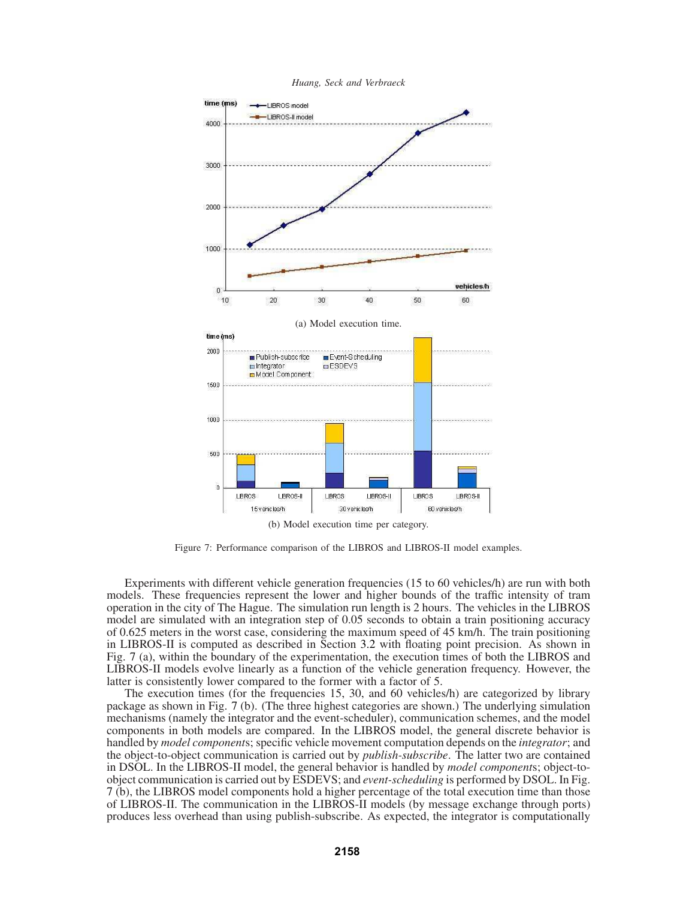

Figure 7: Performance comparison of the LIBROS and LIBROS-II model examples.

Experiments with different vehicle generation frequencies (15 to 60 vehicles/h) are run with both models. These frequencies represent the lower and higher bounds of the traffic intensity of tram operation in the city of The Hague. The simulation run length is 2 hours. The vehicles in the LIBROS model are simulated with an integration step of 0.05 seconds to obtain a train positioning accuracy of 0.625 meters in the worst case, considering the maximum speed of 45 km/h. The train positioning in LIBROS-II is computed as described in Section 3.2 with floating point precision. As shown in Fig. 7 (a), within the boundary of the experimentation, the execution times of both the LIBROS and LIBROS-II models evolve linearly as a function of the vehicle generation frequency. However, the latter is consistently lower compared to the former with a factor of 5.

The execution times (for the frequencies 15, 30, and 60 vehicles/h) are categorized by library package as shown in Fig. 7 (b). (The three highest categories are shown.) The underlying simulation mechanisms (namely the integrator and the event-scheduler), communication schemes, and the model components in both models are compared. In the LIBROS model, the general discrete behavior is handled by *model component*s; specific vehicle movement computation depends on the *integrator*; and the object-to-object communication is carried out by *publish-subscribe*. The latter two are contained in DSOL. In the LIBROS-II model, the general behavior is handled by *model component*s; object-toobject communication is carried out by ESDEVS; and *event-scheduling* is performed by DSOL. In Fig. 7 (b), the LIBROS model components hold a higher percentage of the total execution time than those of LIBROS-II. The communication in the LIBROS-II models (by message exchange through ports) produces less overhead than using publish-subscribe. As expected, the integrator is computationally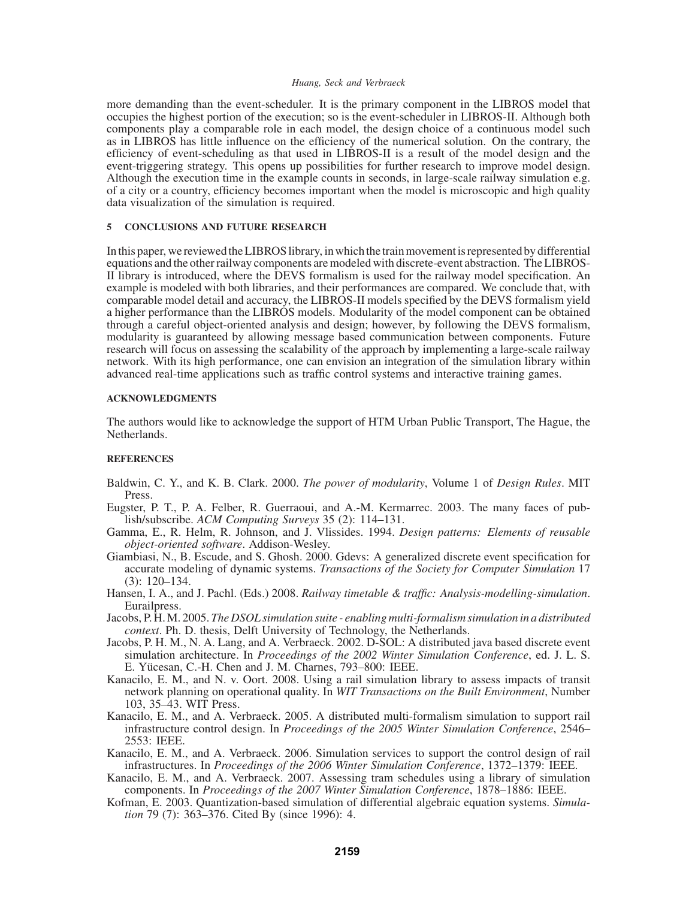more demanding than the event-scheduler. It is the primary component in the LIBROS model that occupies the highest portion of the execution; so is the event-scheduler in LIBROS-II. Although both components play a comparable role in each model, the design choice of a continuous model such as in LIBROS has little influence on the efficiency of the numerical solution. On the contrary, the efficiency of event-scheduling as that used in LIBROS-II is a result of the model design and the event-triggering strategy. This opens up possibilities for further research to improve model design. Although the execution time in the example counts in seconds, in large-scale railway simulation e.g. of a city or a country, efficiency becomes important when the model is microscopic and high quality data visualization of the simulation is required.

### **5 CONCLUSIONS AND FUTURE RESEARCH**

In this paper, we reviewed the LIBROS library, in which the train movement is represented by differential equations and the other railway components are modeled with discrete-event abstraction. The LIBROS-II library is introduced, where the DEVS formalism is used for the railway model specification. An example is modeled with both libraries, and their performances are compared. We conclude that, with comparable model detail and accuracy, the LIBROS-II models specified by the DEVS formalism yield a higher performance than the LIBROS models. Modularity of the model component can be obtained through a careful object-oriented analysis and design; however, by following the DEVS formalism, modularity is guaranteed by allowing message based communication between components. Future research will focus on assessing the scalability of the approach by implementing a large-scale railway network. With its high performance, one can envision an integration of the simulation library within advanced real-time applications such as traffic control systems and interactive training games.

## **ACKNOWLEDGMENTS**

The authors would like to acknowledge the support of HTM Urban Public Transport, The Hague, the Netherlands.

## **REFERENCES**

- Baldwin, C. Y., and K. B. Clark. 2000. *The power of modularity*, Volume 1 of *Design Rules*. MIT Press.
- Eugster, P. T., P. A. Felber, R. Guerraoui, and A.-M. Kermarrec. 2003. The many faces of publish/subscribe. *ACM Computing Surveys* 35 (2): 114–131.
- Gamma, E., R. Helm, R. Johnson, and J. Vlissides. 1994. *Design patterns: Elements of reusable object-oriented software*. Addison-Wesley.
- Giambiasi, N., B. Escude, and S. Ghosh. 2000. Gdevs: A generalized discrete event specification for accurate modeling of dynamic systems. *Transactions of the Society for Computer Simulation* 17 (3): 120–134.
- Hansen, I. A., and J. Pachl. (Eds.) 2008. *Railway timetable & traffic: Analysis-modelling-simulation*. Eurailpress.
- Jacobs, P. H. M. 2005. *The DSOL simulation suite enabling multi-formalism simulation in a distributed context*. Ph. D. thesis, Delft University of Technology, the Netherlands.
- Jacobs, P. H. M., N. A. Lang, and A. Verbraeck. 2002. D-SOL: A distributed java based discrete event simulation architecture. In *Proceedings of the 2002 Winter Simulation Conference*, ed. J. L. S. E. Yücesan, C.-H. Chen and J. M. Charnes, 793–800: IEEE.
- Kanacilo, E. M., and N. v. Oort. 2008. Using a rail simulation library to assess impacts of transit network planning on operational quality. In *WIT Transactions on the Built Environment*, Number 103, 35–43. WIT Press.
- Kanacilo, E. M., and A. Verbraeck. 2005. A distributed multi-formalism simulation to support rail infrastructure control design. In *Proceedings of the 2005 Winter Simulation Conference*, 2546– 2553: IEEE.
- Kanacilo, E. M., and A. Verbraeck. 2006. Simulation services to support the control design of rail infrastructures. In *Proceedings of the 2006 Winter Simulation Conference*, 1372–1379: IEEE.
- Kanacilo, E. M., and A. Verbraeck. 2007. Assessing tram schedules using a library of simulation components. In *Proceedings of the 2007 Winter Simulation Conference*, 1878–1886: IEEE.
- Kofman, E. 2003. Quantization-based simulation of differential algebraic equation systems. *Simulation* 79 (7): 363–376. Cited By (since 1996): 4.